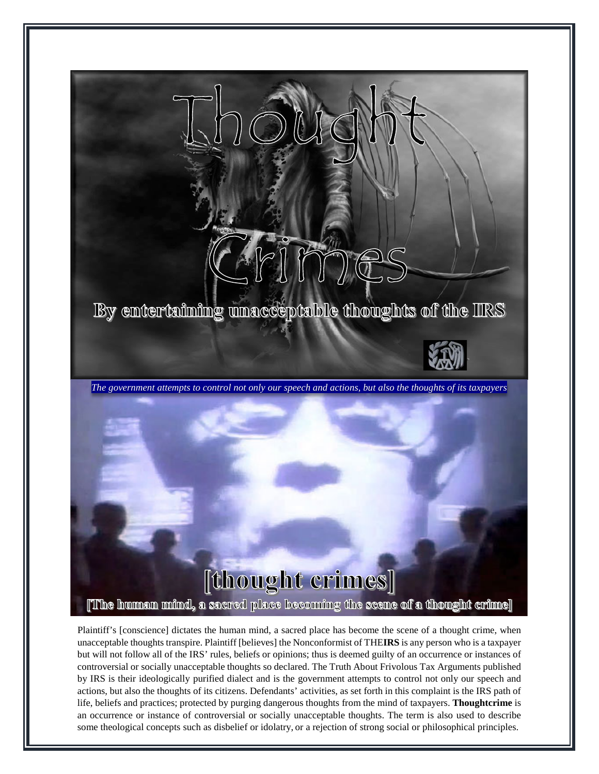

Plaintiff's [conscience] dictates the human mind, a sacred place has become the scene of a thought crime, when unacceptable thoughts transpire. Plaintiff [believes] the Nonconformist of THE**IRS** is any person who is a taxpayer but will not follow all of the IRS' rules, beliefs or opinions; thus is deemed guilty of an occurrence or instances of controversial or socially unacceptable thoughts so declared. The Truth About Frivolous Tax Arguments published by IRS is their ideologically purified dialect and is the government attempts to control not only our speech and actions, but also the thoughts of its citizens. Defendants' activities, as set forth in this complaint is the IRS path of life, beliefs and practices; protected by purging dangerous thoughts from the mind of taxpayers. **Thoughtcrime** is an occurrence or instance of controversial or socially unacceptable thoughts. The term is also used to describe some theological concepts such as disbelief or idolatry, or a rejection of strong social or philosophical principles.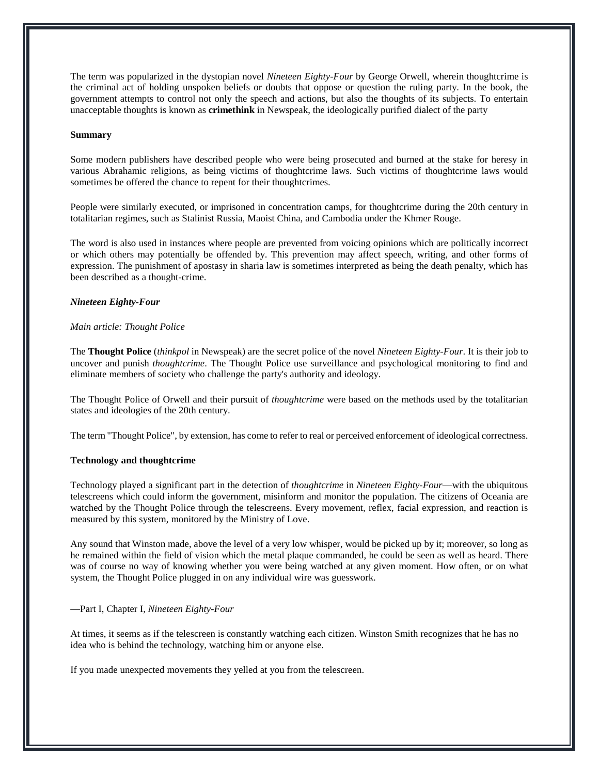The term was popularized in the dystopian novel *Nineteen Eighty-Four* by George Orwell, wherein thoughtcrime is the criminal act of holding unspoken beliefs or doubts that oppose or question the ruling party. In the book, the government attempts to control not only the speech and actions, but also the thoughts of its subjects. To entertain unacceptable thoughts is known as **crimethink** in Newspeak, the ideologically purified dialect of the party

## **Summary**

Some modern publishers have described people who were being prosecuted and burned at the stake for heresy in various Abrahamic religions, as being victims of thoughtcrime laws. Such victims of thoughtcrime laws would sometimes be offered the chance to repent for their thoughtcrimes.

People were similarly executed, or imprisoned in concentration camps, for thoughtcrime during the 20th century in totalitarian regimes, such as Stalinist Russia, Maoist China, and Cambodia under the Khmer Rouge.

The word is also used in instances where people are prevented from voicing opinions which are politically incorrect or which others may potentially be offended by. This prevention may affect speech, writing, and other forms of expression. The punishment of apostasy in sharia law is sometimes interpreted as being the death penalty, which has been described as a thought-crime.

## *Nineteen Eighty-Four*

## *Main article: Thought Police*

The **Thought Police** (*thinkpol* in Newspeak) are the secret police of the novel *Nineteen Eighty-Four*. It is their job to uncover and punish *thoughtcrime*. The Thought Police use surveillance and psychological monitoring to find and eliminate members of society who challenge the party's authority and ideology.

The Thought Police of Orwell and their pursuit of *thoughtcrime* were based on the methods used by the totalitarian states and ideologies of the 20th century.

The term "Thought Police", by extension, has come to refer to real or perceived enforcement of ideological correctness.

#### **Technology and thoughtcrime**

Technology played a significant part in the detection of *thoughtcrime* in *Nineteen Eighty-Four*—with the ubiquitous telescreens which could inform the government, misinform and monitor the population. The citizens of Oceania are watched by the Thought Police through the telescreens. Every movement, reflex, facial expression, and reaction is measured by this system, monitored by the Ministry of Love.

Any sound that Winston made, above the level of a very low whisper, would be picked up by it; moreover, so long as he remained within the field of vision which the metal plaque commanded, he could be seen as well as heard. There was of course no way of knowing whether you were being watched at any given moment. How often, or on what system, the Thought Police plugged in on any individual wire was guesswork.

## —Part I, Chapter I, *Nineteen Eighty-Four*

At times, it seems as if the telescreen is constantly watching each citizen. Winston Smith recognizes that he has no idea who is behind the technology, watching him or anyone else.

If you made unexpected movements they yelled at you from the telescreen.